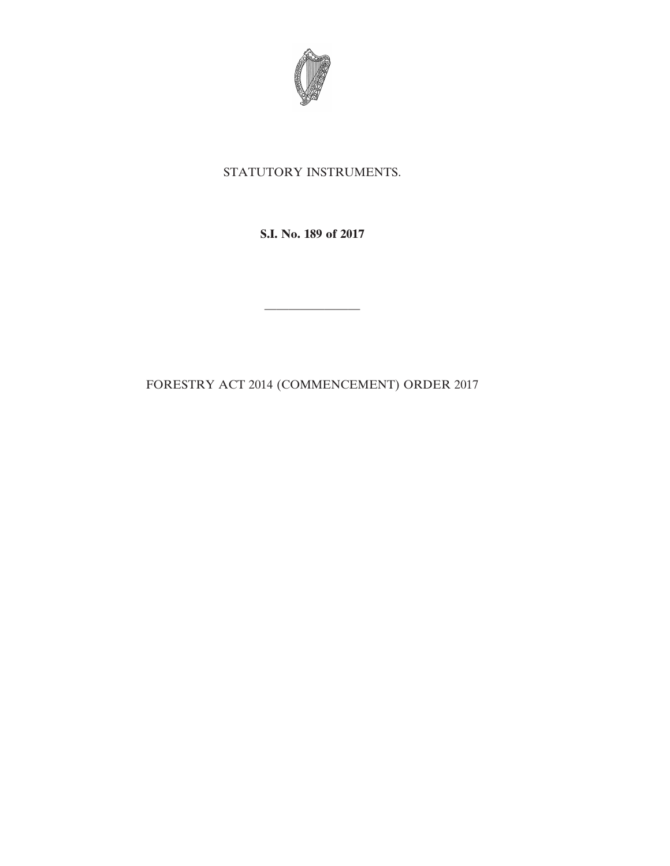

## STATUTORY INSTRUMENTS.

**S.I. No. 189 of 2017**

FORESTRY ACT 2014 (COMMENCEMENT) ORDER 2017

————————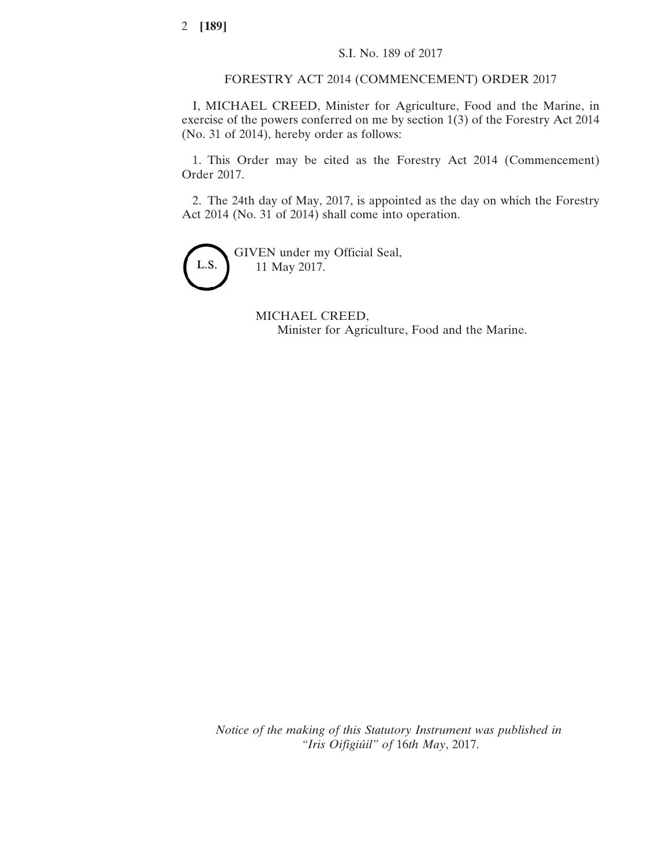FORESTRY ACT 2014 (COMMENCEMENT) ORDER 2017

I, MICHAEL CREED, Minister for Agriculture, Food and the Marine, in exercise of the powers conferred on me by section 1(3) of the Forestry Act 2014 (No. 31 of 2014), hereby order as follows:

1. This Order may be cited as the Forestry Act 2014 (Commencement) Order 2017.

2. The 24th day of May, 2017, is appointed as the day on which the Forestry Act 2014 (No. 31 of 2014) shall come into operation.



GIVEN under my Official Seal, 11 May 2017.

> MICHAEL CREED, Minister for Agriculture, Food and the Marine.

*Notice of the making of this Statutory Instrument was published in "Iris Oifigiúil" of* 16*th May*, 2017.